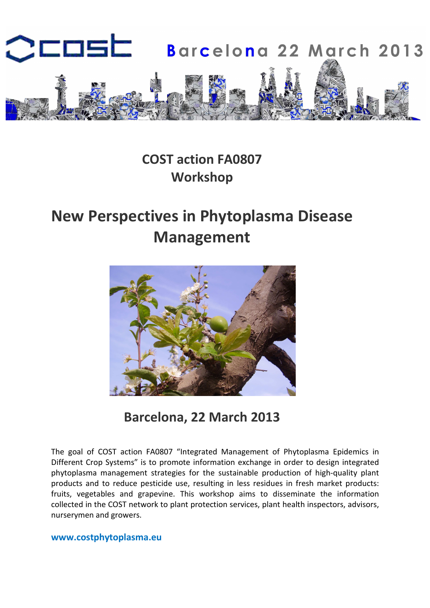

## COST action FA0807 Workshop

# New Perspectives in Phytoplasma Disease Management



Barcelona, 22 March 2013

The goal of COST action FA0807 "Integrated Management of Phytoplasma Epidemics in Different Crop Systems" is to promote information exchange in order to design integrated phytoplasma management strategies for the sustainable production of high-quality plant products and to reduce pesticide use, resulting in less residues in fresh market products: fruits, vegetables and grapevine. This workshop aims to disseminate the information collected in the COST network to plant protection services, plant health inspectors, advisors, nurserymen and growers.

#### www.costphytoplasma.eu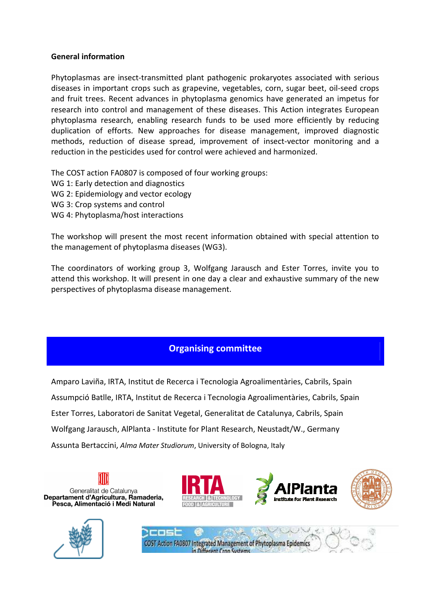#### General information

Phytoplasmas are insect-transmitted plant pathogenic prokaryotes associated with serious diseases in important crops such as grapevine, vegetables, corn, sugar beet, oil-seed crops and fruit trees. Recent advances in phytoplasma genomics have generated an impetus for research into control and management of these diseases. This Action integrates European phytoplasma research, enabling research funds to be used more efficiently by reducing duplication of efforts. New approaches for disease management, improved diagnostic methods, reduction of disease spread, improvement of insect-vector monitoring and a reduction in the pesticides used for control were achieved and harmonized.

The COST action FA0807 is composed of four working groups:

- WG 1: Early detection and diagnostics
- WG 2: Epidemiology and vector ecology
- WG 3: Crop systems and control
- WG 4: Phytoplasma/host interactions

The workshop will present the most recent information obtained with special attention to the management of phytoplasma diseases (WG3).

The coordinators of working group 3, Wolfgang Jarausch and Ester Torres, invite you to attend this workshop. It will present in one day a clear and exhaustive summary of the new perspectives of phytoplasma disease management.

## Organising committee

Amparo Laviña, IRTA, Institut de Recerca i Tecnologia Agroalimentàries, Cabrils, Spain Assumpció Batlle, IRTA, Institut de Recerca i Tecnologia Agroalimentàries, Cabrils, Spain Ester Torres, Laboratori de Sanitat Vegetal, Generalitat de Catalunya, Cabrils, Spain Wolfgang Jarausch, AlPlanta - Institute for Plant Research, Neustadt/W., Germany Assunta Bertaccini, Alma Mater Studiorum, University of Bologna, Italy

Generalitat de Catalunya Departament d'Agricultura, Ramaderia, Pesca, Alimentació i Medi Natural









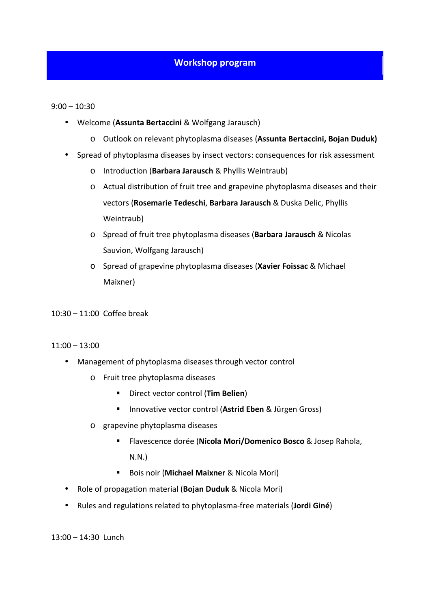## Workshop program

9:00 – 10:30

- Welcome (Assunta Bertaccini & Wolfgang Jarausch)
	- o Outlook on relevant phytoplasma diseases (Assunta Bertaccini, Bojan Duduk)
- Spread of phytoplasma diseases by insect vectors: consequences for risk assessment
	- o Introduction (Barbara Jarausch & Phyllis Weintraub)
	- o Actual distribution of fruit tree and grapevine phytoplasma diseases and their vectors (Rosemarie Tedeschi, Barbara Jarausch & Duska Delic, Phyllis Weintraub)
	- o Spread of fruit tree phytoplasma diseases (Barbara Jarausch & Nicolas Sauvion, Wolfgang Jarausch)
	- o Spread of grapevine phytoplasma diseases (Xavier Foissac & Michael Maixner)

10:30 – 11:00 Coffee break

#### 11:00 – 13:00

- Management of phytoplasma diseases through vector control
	- o Fruit tree phytoplasma diseases
		- Direct vector control (Tim Belien)
		- **Innovative vector control (Astrid Eben & Jürgen Gross)**
	- o grapevine phytoplasma diseases
		- **Flavescence dorée (Nicola Mori/Domenico Bosco & Josep Rahola,** N.N.)
		- **Bois noir (Michael Maixner & Nicola Mori)**
- Role of propagation material (Bojan Duduk & Nicola Mori)
- Rules and regulations related to phytoplasma-free materials (Jordi Giné)

13:00 – 14:30 Lunch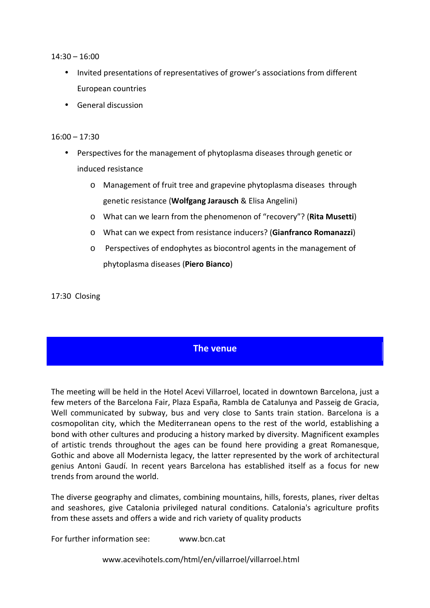14:30 – 16:00

- Invited presentations of representatives of grower's associations from different European countries
- General discussion

#### 16:00 – 17:30

- Perspectives for the management of phytoplasma diseases through genetic or induced resistance
	- o Management of fruit tree and grapevine phytoplasma diseases through genetic resistance (Wolfgang Jarausch & Elisa Angelini)
	- o What can we learn from the phenomenon of "recovery"? (Rita Musetti)
	- o What can we expect from resistance inducers? (Gianfranco Romanazzi)
	- o Perspectives of endophytes as biocontrol agents in the management of phytoplasma diseases (Piero Bianco)

17:30 Closing

#### The venue

The meeting will be held in the Hotel Acevi Villarroel, located in downtown Barcelona, just a few meters of the Barcelona Fair, Plaza España, Rambla de Catalunya and Passeig de Gracia, Well communicated by subway, bus and very close to Sants train station. Barcelona is a cosmopolitan city, which the Mediterranean opens to the rest of the world, establishing a bond with other cultures and producing a history marked by diversity. Magnificent examples of artistic trends throughout the ages can be found here providing a great Romanesque, Gothic and above all Modernista legacy, the latter represented by the work of architectural genius Antoni Gaudí. In recent years Barcelona has established itself as a focus for new trends from around the world.

The diverse geography and climates, combining mountains, hills, forests, planes, river deltas and seashores, give Catalonia privileged natural conditions. Catalonia's agriculture profits from these assets and offers a wide and rich variety of quality products

For further information see: www.bcn.cat

www.acevihotels.com/html/en/villarroel/villarroel.html